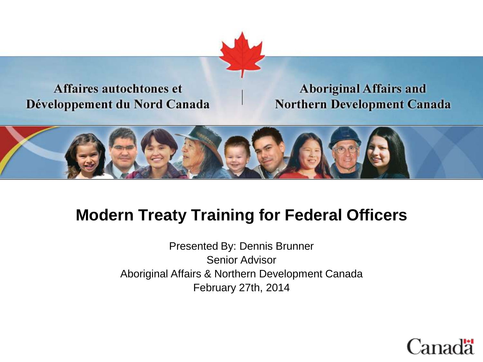

#### Affaires autochtones et Développement du Nord Canada

#### **Aboriginal Affairs and Northern Development Canada**



### **Modern Treaty Training for Federal Officers**

Presented By: Dennis Brunner Senior Advisor Aboriginal Affairs & Northern Development Canada February 27th, 2014

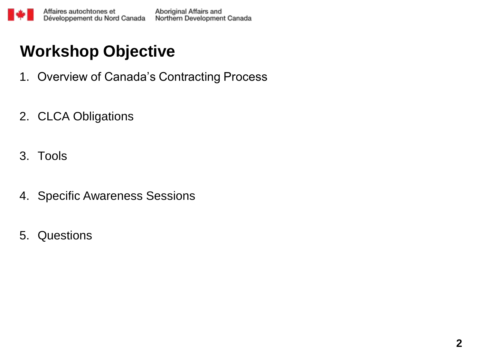## **Workshop Objective**

- 1. Overview of Canada's Contracting Process
- 2. CLCA Obligations
- 3. Tools
- 4. Specific Awareness Sessions
- 5. Questions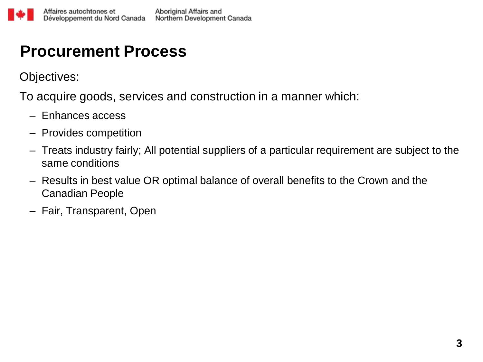#### **Procurement Process**

Objectives:

To acquire goods, services and construction in a manner which:

- Enhances access
- Provides competition
- Treats industry fairly; All potential suppliers of a particular requirement are subject to the same conditions
- Results in best value OR optimal balance of overall benefits to the Crown and the Canadian People
- Fair, Transparent, Open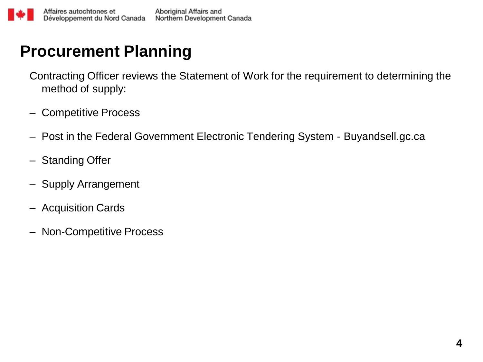### **Procurement Planning**

Contracting Officer reviews the Statement of Work for the requirement to determining the method of supply:

- Competitive Process
- Post in the Federal Government Electronic Tendering System Buyandsell.gc.ca
- Standing Offer
- Supply Arrangement
- Acquisition Cards
- Non-Competitive Process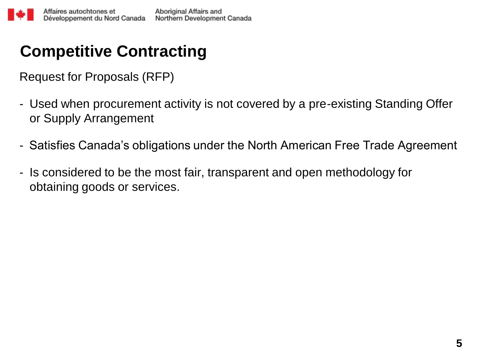# **Competitive Contracting**

Request for Proposals (RFP)

- Used when procurement activity is not covered by a pre-existing Standing Offer or Supply Arrangement
- Satisfies Canada's obligations under the North American Free Trade Agreement
- Is considered to be the most fair, transparent and open methodology for obtaining goods or services.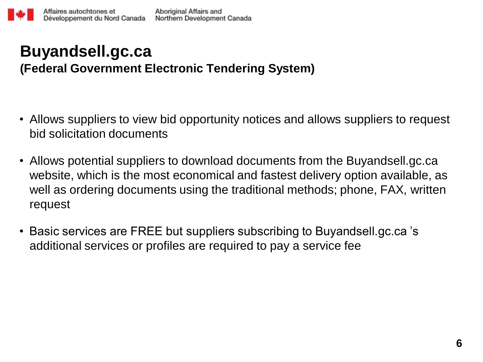#### **Buyandsell.gc.ca (Federal Government Electronic Tendering System)**

- Allows suppliers to view bid opportunity notices and allows suppliers to request bid solicitation documents
- Allows potential suppliers to download documents from the Buyandsell.gc.ca website, which is the most economical and fastest delivery option available, as well as ordering documents using the traditional methods; phone, FAX, written request
- Basic services are FREE but suppliers subscribing to Buyandsell.gc.ca 's additional services or profiles are required to pay a service fee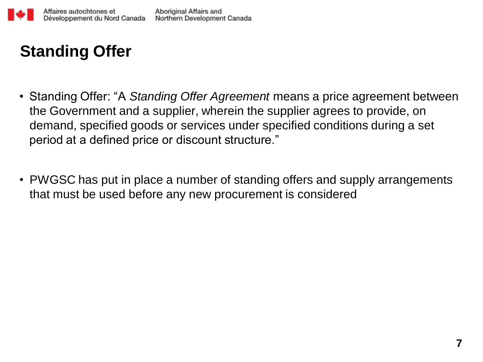

# **Standing Offer**

- Standing Offer: "A *Standing Offer Agreement* means a price agreement between the Government and a supplier, wherein the supplier agrees to provide, on demand, specified goods or services under specified conditions during a set period at a defined price or discount structure."
- PWGSC has put in place a number of standing offers and supply arrangements that must be used before any new procurement is considered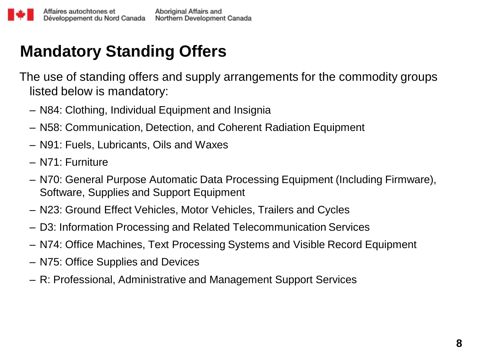# **Mandatory Standing Offers**

The use of standing offers and supply arrangements for the commodity groups listed below is mandatory:

- N84: Clothing, Individual Equipment and Insignia
- N58: Communication, Detection, and Coherent Radiation Equipment
- N91: Fuels, Lubricants, Oils and Waxes
- N71: Furniture
- N70: General Purpose Automatic Data Processing Equipment (Including Firmware), Software, Supplies and Support Equipment
- N23: Ground Effect Vehicles, Motor Vehicles, Trailers and Cycles
- D3: Information Processing and Related Telecommunication Services
- N74: Office Machines, Text Processing Systems and Visible Record Equipment
- N75: Office Supplies and Devices
- R: Professional, Administrative and Management Support Services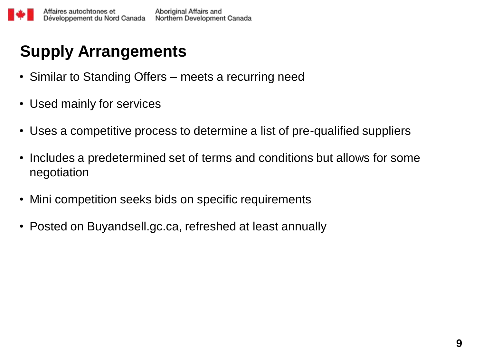# **Supply Arrangements**

- Similar to Standing Offers meets a recurring need
- Used mainly for services
- Uses a competitive process to determine a list of pre-qualified suppliers
- Includes a predetermined set of terms and conditions but allows for some negotiation
- Mini competition seeks bids on specific requirements
- Posted on Buyandsell.gc.ca, refreshed at least annually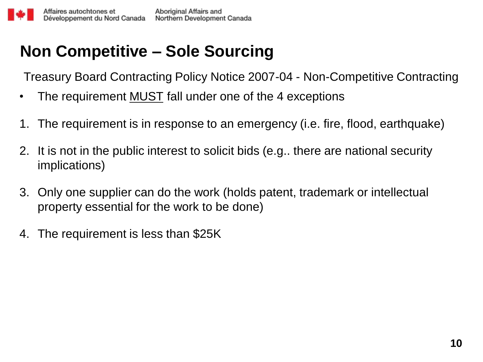# **Non Competitive – Sole Sourcing**

Treasury Board Contracting Policy Notice 2007-04 - Non-Competitive Contracting

- The requirement MUST fall under one of the 4 exceptions
- 1. The requirement is in response to an emergency (i.e. fire, flood, earthquake)
- 2. It is not in the public interest to solicit bids (e.g.. there are national security implications)
- 3. Only one supplier can do the work (holds patent, trademark or intellectual property essential for the work to be done)
- 4. The requirement is less than \$25K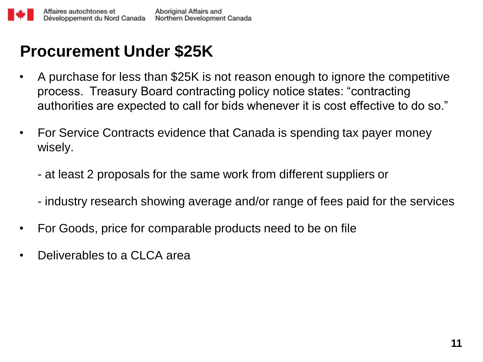## **Procurement Under \$25K**

- A purchase for less than \$25K is not reason enough to ignore the competitive process. Treasury Board contracting policy notice states: "contracting authorities are expected to call for bids whenever it is cost effective to do so."
- For Service Contracts evidence that Canada is spending tax payer money wisely.
	- at least 2 proposals for the same work from different suppliers or
	- industry research showing average and/or range of fees paid for the services
- For Goods, price for comparable products need to be on file
- Deliverables to a CLCA area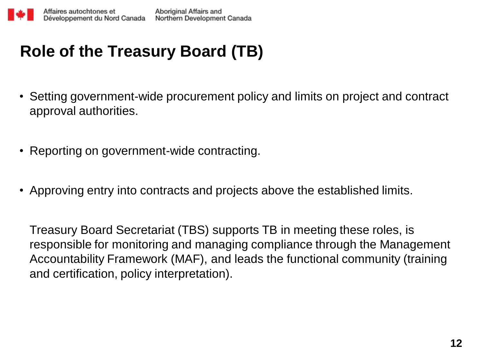# **Role of the Treasury Board (TB)**

- Setting government-wide procurement policy and limits on project and contract approval authorities.
- Reporting on government-wide contracting.
- Approving entry into contracts and projects above the established limits.

Treasury Board Secretariat (TBS) supports TB in meeting these roles, is responsible for monitoring and managing compliance through the Management Accountability Framework (MAF), and leads the functional community (training and certification, policy interpretation).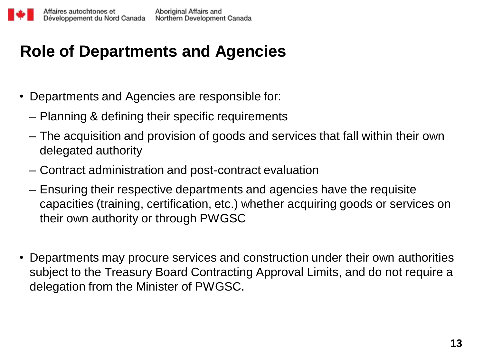## **Role of Departments and Agencies**

- Departments and Agencies are responsible for:
	- Planning & defining their specific requirements
	- The acquisition and provision of goods and services that fall within their own delegated authority
	- Contract administration and post-contract evaluation
	- Ensuring their respective departments and agencies have the requisite capacities (training, certification, etc.) whether acquiring goods or services on their own authority or through PWGSC
- Departments may procure services and construction under their own authorities subject to the Treasury Board Contracting Approval Limits, and do not require a delegation from the Minister of PWGSC.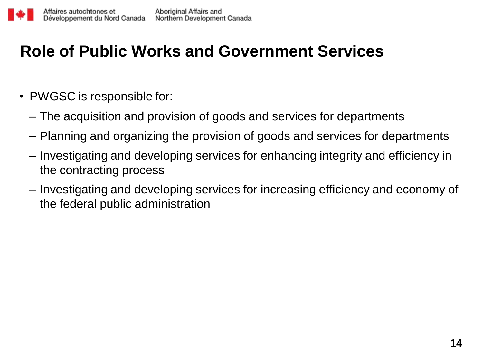## **Role of Public Works and Government Services**

- PWGSC is responsible for:
	- The acquisition and provision of goods and services for departments
	- Planning and organizing the provision of goods and services for departments
	- Investigating and developing services for enhancing integrity and efficiency in the contracting process
	- Investigating and developing services for increasing efficiency and economy of the federal public administration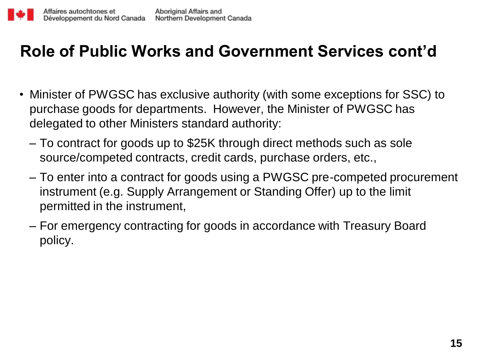#### **Role of Public Works and Government Services cont'd**

- Minister of PWGSC has exclusive authority (with some exceptions for SSC) to purchase goods for departments. However, the Minister of PWGSC has delegated to other Ministers standard authority:
	- To contract for goods up to \$25K through direct methods such as sole source/competed contracts, credit cards, purchase orders, etc.,
	- To enter into a contract for goods using a PWGSC pre-competed procurement instrument (e.g. Supply Arrangement or Standing Offer) up to the limit permitted in the instrument,
	- For emergency contracting for goods in accordance with Treasury Board policy.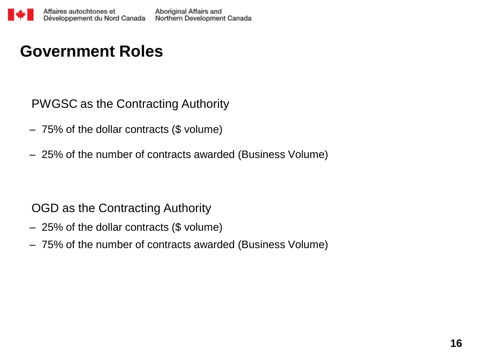#### **Government Roles**

PWGSC as the Contracting Authority

- 75% of the dollar contracts (\$ volume)
- 25% of the number of contracts awarded (Business Volume)

#### OGD as the Contracting Authority

- 25% of the dollar contracts (\$ volume)
- 75% of the number of contracts awarded (Business Volume)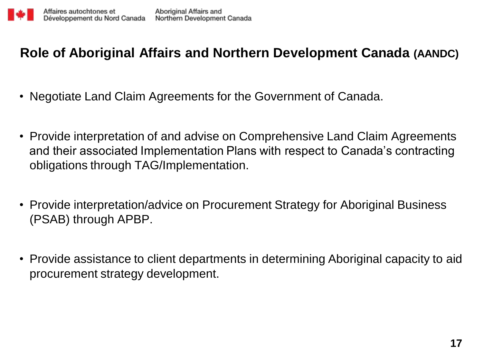#### **Role of Aboriginal Affairs and Northern Development Canada (AANDC)**

- Negotiate Land Claim Agreements for the Government of Canada.
- Provide interpretation of and advise on Comprehensive Land Claim Agreements and their associated Implementation Plans with respect to Canada's contracting obligations through TAG/Implementation.
- Provide interpretation/advice on Procurement Strategy for Aboriginal Business (PSAB) through APBP.
- Provide assistance to client departments in determining Aboriginal capacity to aid procurement strategy development.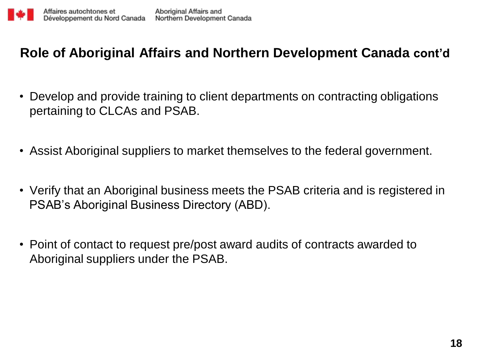#### **Role of Aboriginal Affairs and Northern Development Canada cont'd**

- Develop and provide training to client departments on contracting obligations pertaining to CLCAs and PSAB.
- Assist Aboriginal suppliers to market themselves to the federal government.
- Verify that an Aboriginal business meets the PSAB criteria and is registered in PSAB's Aboriginal Business Directory (ABD).
- Point of contact to request pre/post award audits of contracts awarded to Aboriginal suppliers under the PSAB.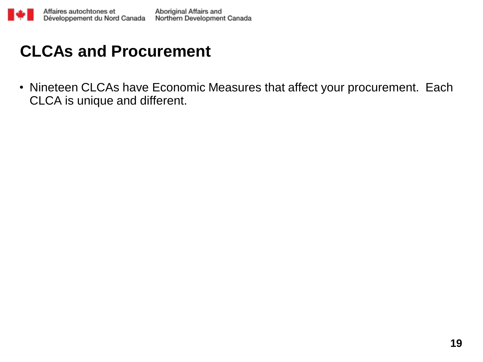

#### **CLCAs and Procurement**

• Nineteen CLCAs have Economic Measures that affect your procurement. Each CLCA is unique and different.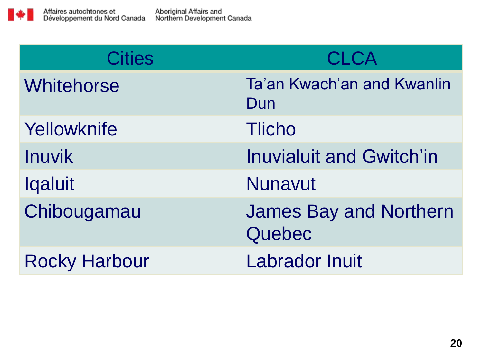

| <b>Cities</b>        | <b>CLCA</b>                             |
|----------------------|-----------------------------------------|
| <b>Whitehorse</b>    | Ta'an Kwach'an and Kwanlin<br>Dun       |
| Yellowknife          | <b>Tlicho</b>                           |
| <b>Inuvik</b>        | <b>Inuvialuit and Gwitch'in</b>         |
| <b>Iqaluit</b>       | <b>Nunavut</b>                          |
| Chibougamau          | <b>James Bay and Northern</b><br>Quebec |
| <b>Rocky Harbour</b> | <b>Labrador Inuit</b>                   |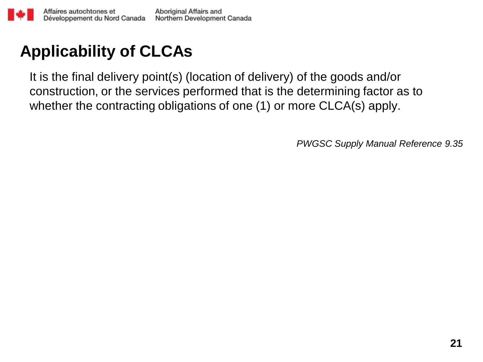# **Applicability of CLCAs**

It is the final delivery point(s) (location of delivery) of the goods and/or construction, or the services performed that is the determining factor as to whether the contracting obligations of one (1) or more CLCA(s) apply.

*PWGSC Supply Manual Reference 9.35*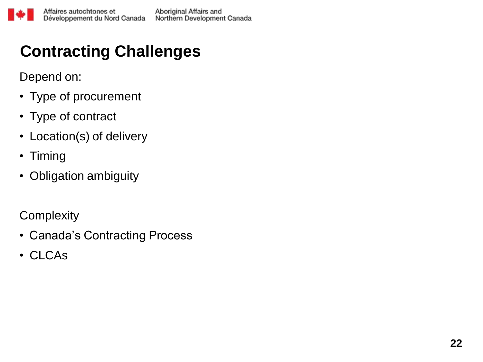# **Contracting Challenges**

Depend on:

- Type of procurement
- Type of contract
- Location(s) of delivery
- Timing
- Obligation ambiguity

#### **Complexity**

- Canada's Contracting Process
- CLCAs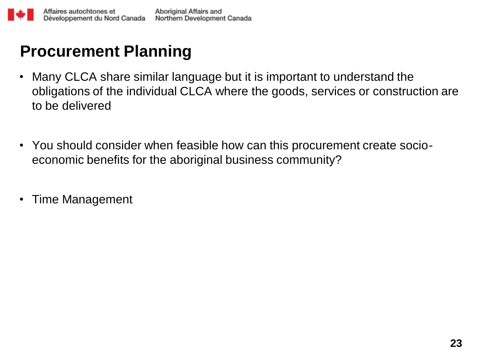## **Procurement Planning**

- Many CLCA share similar language but it is important to understand the obligations of the individual CLCA where the goods, services or construction are to be delivered
- You should consider when feasible how can this procurement create socioeconomic benefits for the aboriginal business community?
- Time Management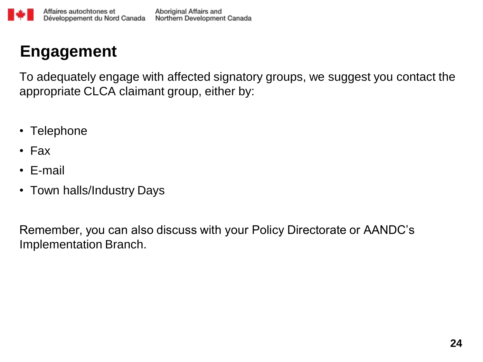

#### **Engagement**

To adequately engage with affected signatory groups, we suggest you contact the appropriate CLCA claimant group, either by:

- Telephone
- Fax
- E-mail
- Town halls/Industry Days

Remember, you can also discuss with your Policy Directorate or AANDC's Implementation Branch.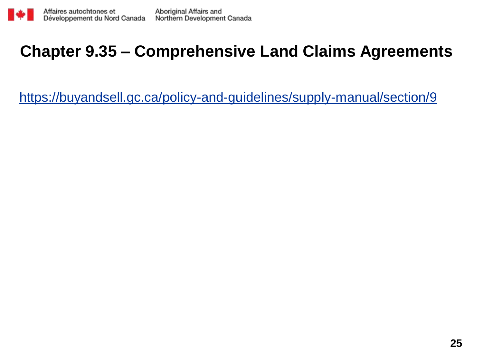

### **Chapter 9.35 – Comprehensive Land Claims Agreements**

<https://buyandsell.gc.ca/policy-and-guidelines/supply-manual/section/9>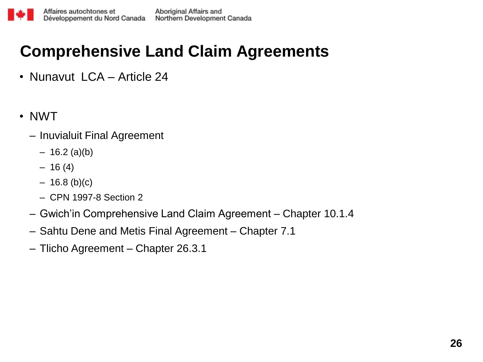# **Comprehensive Land Claim Agreements**

- Nunavut LCA Article 24
- NWT
	- Inuvialuit Final Agreement
		- $-16.2$  (a)(b)
		- $-16(4)$
		- $16.8$  (b)(c)
		- CPN 1997-8 Section 2
	- Gwich'in Comprehensive Land Claim Agreement Chapter 10.1.4
	- Sahtu Dene and Metis Final Agreement Chapter 7.1
	- Tlicho Agreement Chapter 26.3.1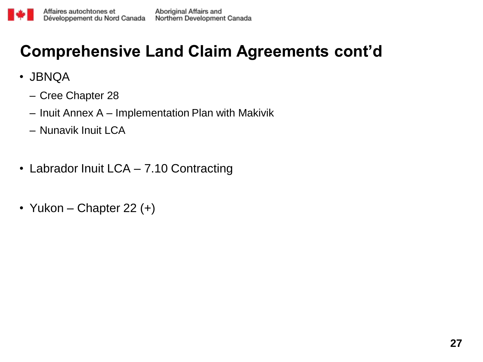## **Comprehensive Land Claim Agreements cont'd**

- JBNQA
	- Cree Chapter 28
	- Inuit Annex A Implementation Plan with Makivik
	- Nunavik Inuit LCA
- Labrador Inuit LCA 7.10 Contracting
- Yukon Chapter 22 $(+)$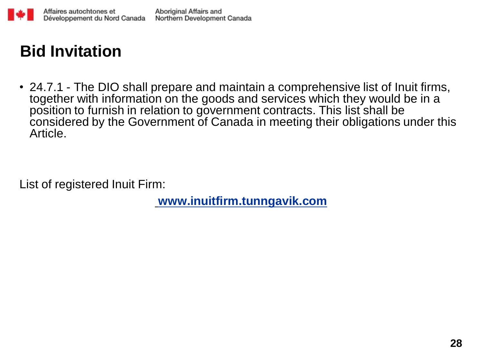

## **Bid Invitation**

• 24.7.1 - The DIO shall prepare and maintain a comprehensive list of Inuit firms, together with information on the goods and services which they would be in a position to furnish in relation to government contracts. This list shall be considered by the Government of Canada in meeting their obligations under this Article.

List of registered Inuit Firm:

**[www.inuitfirm.tunngavik.com](http://www.inuitfirm.tunngavik.com/)**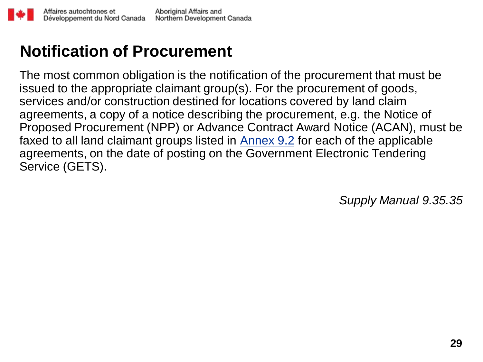### **Notification of Procurement**

The most common obligation is the notification of the procurement that must be issued to the appropriate claimant group(s). For the procurement of goods, services and/or construction destined for locations covered by land claim agreements, a copy of a notice describing the procurement, e.g. the Notice of Proposed Procurement (NPP) or Advance Cont[ra](http://www.tpsgc-pwgsc.gc.ca/app-acq/ga-sm/chapitre09-chapter09-eng.html)ct Award Notice (ACAN), must be faxed to all land claimant groups listed in **[Annex](http://www.tpsgc-pwgsc.gc.ca/app-acq/ga-sm/chapitre09-chapter09-eng.html) [9.2](http://www.tpsgc-pwgsc.gc.ca/app-acq/ga-sm/chapitre09-chapter09-eng.html)** for each of the applicable agreements, on the date of posting on the Government Electronic Tendering Service (GETS).

*Supply Manual 9.35.35*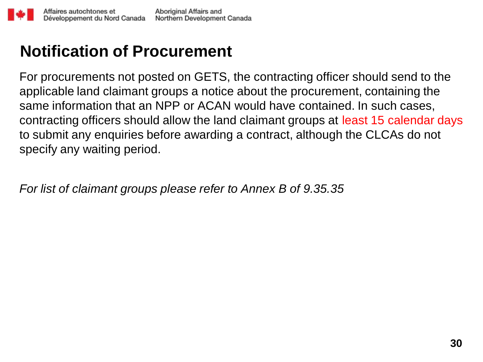#### **Notification of Procurement**

For procurements not posted on GETS, the contracting officer should send to the applicable land claimant groups a notice about the procurement, containing the same information that an NPP or ACAN would have contained. In such cases, contracting officers should allow the land claimant groups at least 15 calendar days to submit any enquiries before awarding a contract, although the CLCAs do not specify any waiting period.

*For list of claimant groups please refer to Annex B of 9.35.35*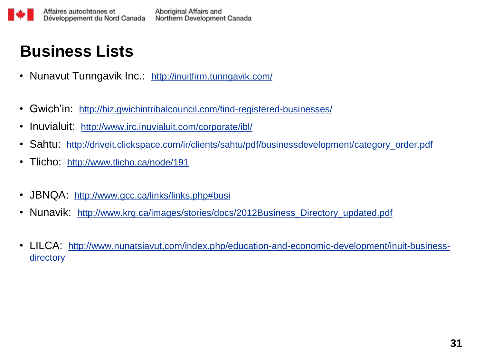

#### **Business Lists**

- Nunavut Tunngavik Inc.: [http://inuitfirm.tunngavik.com/](http://www.irc.inuvialuit.com/corporate/ibl/)
- Gwich'in: <http://biz.gwichintribalcouncil.com/find-registered-businesses/>
- Inuvialuit: <http://www.irc.inuvialuit.com/corporate/ibl/>
- Sahtu: [http://driveit.clickspace.com/ir/clients/sahtu/pdf/businessdevelopment/category\\_order.pdf](http://driveit.clickspace.com/ir/clients/sahtu/pdf/businessdevelopment/category_order.pdf)
- Tlicho: <http://www.tlicho.ca/node/191>
- JBNQA: [http://www.gcc.ca/links/links.php#busi](http://www.gcc.ca/links/links.php)
- Nunavik: http://www.krg.ca/images/stories/docs/2012Business Directory updated.pdf
- LILCA: [http://www.nunatsiavut.com/index.php/education-and-economic-development/inuit-business](http://www.nunatsiavut.com/index.php/education-and-economic-development/inuit-business-directory)**[directory](http://www.nunatsiavut.com/index.php/education-and-economic-development/inuit-business-directory)**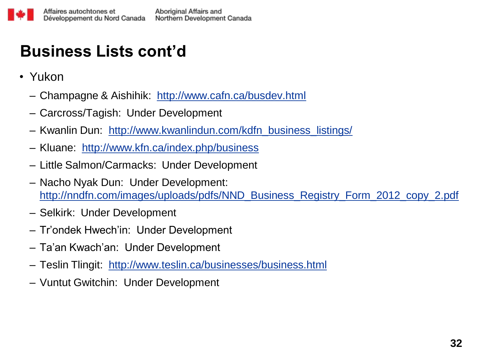# **Business Lists cont'd**

- Yukon
	- Champagne & Aishihik: <http://www.cafn.ca/busdev.html>
	- Carcross/Tagish: Under Development
	- Kwanlin Dun: [http://www.kwanlindun.com/kdfn\\_business\\_listings/](http://www.kwanlindun.com/kdfn_business_listings/)
	- Kluane: <http://www.kfn.ca/index.php/business>
	- Little Salmon/Carmacks: Under Development
	- Nacho Nyak Dun: Under Development: [http://nndfn.com/images/uploads/pdfs/NND\\_Business\\_Registry\\_Form\\_2012\\_copy\\_2.pdf](http://nndfn.com/images/uploads/pdfs/NND_Business_Registry_Form_2012_copy_2.pdf)
	- Selkirk: Under Development
	- Tr'ondek Hwech'in: Under Development
	- Ta'an Kwach'an: Under Development
	- Teslin Tlingit: <http://www.teslin.ca/businesses/business.html>
	- Vuntut Gwitchin: Under Development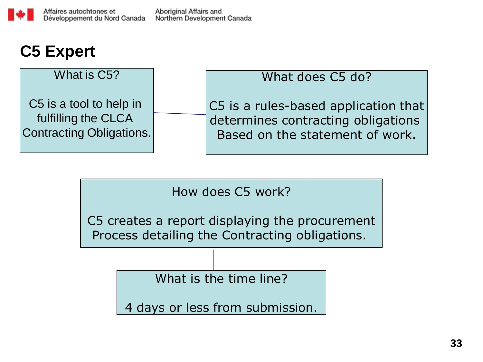### **C5 Expert**

#### What is C5?

C5 is a tool to help in fulfilling the CLCA Contracting Obligations.

#### What does C5 do?

C5 is a rules-based application that determines contracting obligations Based on the statement of work.

How does C5 work?

C5 creates a report displaying the procurement Process detailing the Contracting obligations.

What is the time line?

4 days or less from submission.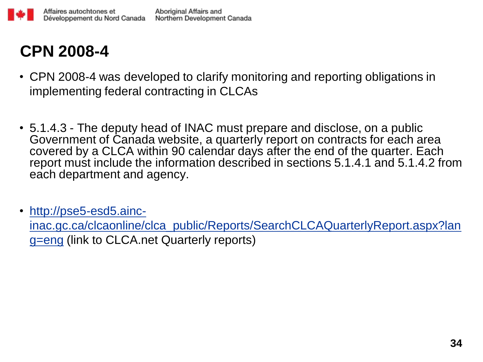# **CPN 2008-4**

- CPN 2008-4 was developed to clarify monitoring and reporting obligations in implementing federal contracting in CLCAs
- 5.1.4.3 The deputy head of INAC must prepare and disclose, on a public Government of Canada website, a quarterly report on contracts for each area covered by a CLCA within 90 calendar days after the end of the quarter. Each report must include the information described in sections 5.1.4.1 and 5.1.4.2 from each department and agency.
- [http://pse5-esd5.ainc](http://pse5-esd5.ainc-inac.gc.ca/clcaonline/clca_public/Reports/SearchCLCAQuarterlyReport.aspx?lang=eng)[inac.gc.ca/clcaonline/clca\\_public/Reports/SearchCLCAQuarterlyReport.aspx?lan](http://pse5-esd5.ainc-inac.gc.ca/clcaonline/clca_public/Reports/SearchCLCAQuarterlyReport.aspx?lang=eng) [g=eng](http://pse5-esd5.ainc-inac.gc.ca/clcaonline/clca_public/Reports/SearchCLCAQuarterlyReport.aspx?lang=eng) (link to CLCA.net Quarterly reports)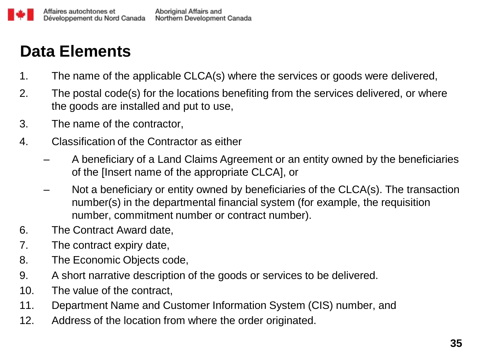### **Data Elements**

- 1. The name of the applicable CLCA(s) where the services or goods were delivered,
- 2. The postal code(s) for the locations benefiting from the services delivered, or where the goods are installed and put to use,
- 3. The name of the contractor,
- 4. Classification of the Contractor as either
	- A beneficiary of a Land Claims Agreement or an entity owned by the beneficiaries of the [Insert name of the appropriate CLCA], or
	- Not a beneficiary or entity owned by beneficiaries of the CLCA(s). The transaction number(s) in the departmental financial system (for example, the requisition number, commitment number or contract number).
- 6. The Contract Award date,
- 7. The contract expiry date,
- 8. The Economic Objects code,
- 9. A short narrative description of the goods or services to be delivered.
- 10. The value of the contract,
- 11. Department Name and Customer Information System (CIS) number, and
- 12. Address of the location from where the order originated.